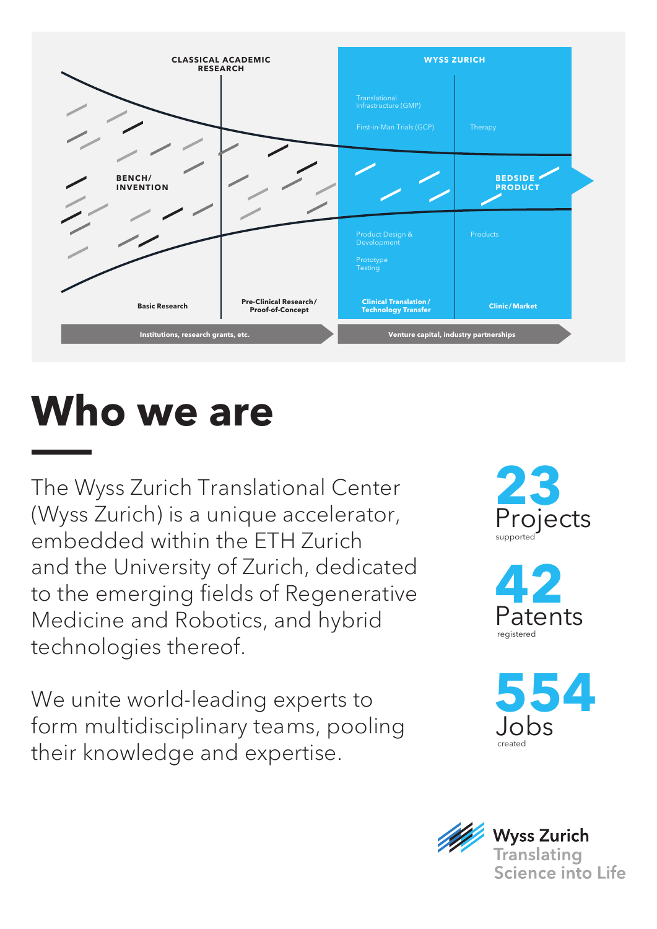

# **Who we are**

The Wyss Zurich Translational Center (Wyss Zurich) is a unique accelerator, embedded within the ETH Zurich and the University of Zurich, dedicated to the emerging fields of Regenerative Medicine and Robotics, and hybrid technologies thereof.

We unite world-leading experts to form multidisciplinary teams, pooling their knowledge and expertise.